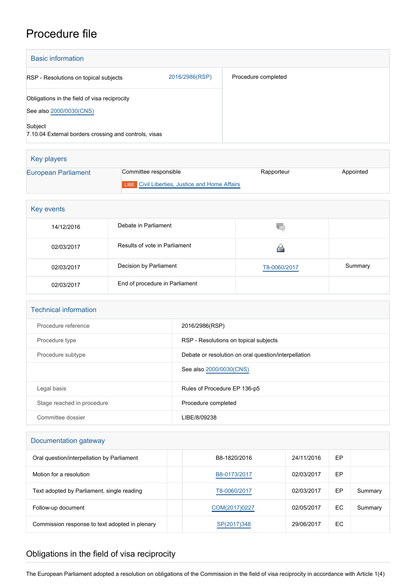## Procedure file

| <b>Basic information</b>                                                |                |                     |
|-------------------------------------------------------------------------|----------------|---------------------|
| RSP - Resolutions on topical subjects                                   | 2016/2986(RSP) | Procedure completed |
| Obligations in the field of visa reciprocity<br>See also 2000/0030(CNS) |                |                     |
| Subject<br>7.10.04 External borders crossing and controls, visas        |                |                     |

| Key players         |                                                       |            |           |
|---------------------|-------------------------------------------------------|------------|-----------|
| European Parliament | Committee responsible                                 | Rapporteur | Appointed |
|                     | <b>LIBE</b> Civil Liberties, Justice and Home Affairs |            |           |

| Key events |                                |              |         |  |
|------------|--------------------------------|--------------|---------|--|
| 14/12/2016 | Debate in Parliament           | V.           |         |  |
| 02/03/2017 | Results of vote in Parliament  |              |         |  |
| 02/03/2017 | Decision by Parliament         | T8-0060/2017 | Summary |  |
| 02/03/2017 | End of procedure in Parliament |              |         |  |

| <b>Technical information</b> |                                                      |  |  |
|------------------------------|------------------------------------------------------|--|--|
| Procedure reference          | 2016/2986(RSP)                                       |  |  |
| Procedure type               | RSP - Resolutions on topical subjects                |  |  |
| Procedure subtype            | Debate or resolution on oral question/interpellation |  |  |
|                              | See also 2000/0030(CNS)                              |  |  |
| Legal basis                  | Rules of Procedure EP 136-p5                         |  |  |
| Stage reached in procedure   | Procedure completed                                  |  |  |
| Committee dossier            | LIBE/8/09238                                         |  |  |

## Documentation gateway

| Oral question/interpellation by Parliament     | B8-1820/2016  | 24/11/2016 | EP |         |
|------------------------------------------------|---------------|------------|----|---------|
| Motion for a resolution                        | B8-0173/2017  | 02/03/2017 | EP |         |
| Text adopted by Parliament, single reading     | T8-0060/2017  | 02/03/2017 | EP | Summary |
| Follow-up document                             | COM(2017)0227 | 02/05/2017 | EC | Summary |
| Commission response to text adopted in plenary | SP(2017)348   | 29/06/2017 | EC |         |

## Obligations in the field of visa reciprocity